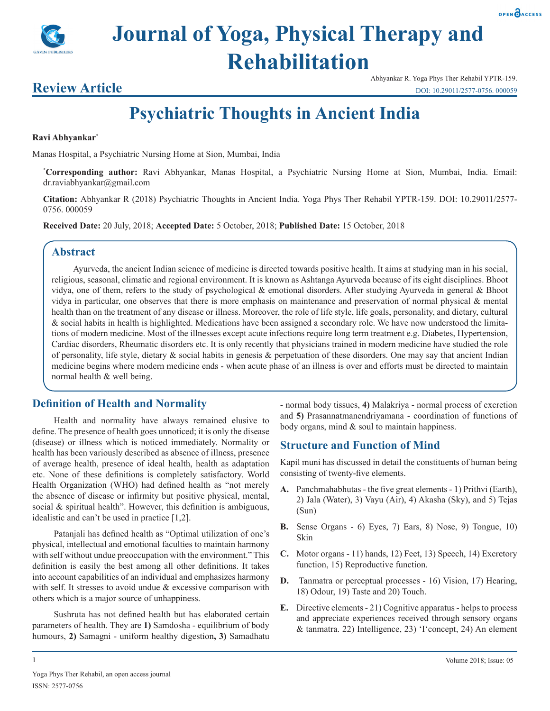



# **Journal of Yoga, Physical Therapy and Rehabilitation**

### **Review Article**

Abhyankar R. Yoga Phys Ther Rehabil YPTR-159. DOI: 10.29011/2577-0756. 000059

## **Psychiatric Thoughts in Ancient India**

#### **Ravi Abhyankar\***

Manas Hospital, a Psychiatric Nursing Home at Sion, Mumbai, India

**\* Corresponding author:** Ravi Abhyankar, Manas Hospital, a Psychiatric Nursing Home at Sion, Mumbai, India. Email: dr.raviabhyankar@gmail.com

**Citation:** Abhyankar R (2018) Psychiatric Thoughts in Ancient India. Yoga Phys Ther Rehabil YPTR-159. DOI: 10.29011/2577- 0756. 000059

**Received Date:** 20 July, 2018; **Accepted Date:** 5 October, 2018; **Published Date:** 15 October, 2018

#### **Abstract**

Ayurveda, the ancient Indian science of medicine is directed towards positive health. It aims at studying man in his social, religious, seasonal, climatic and regional environment. It is known as Ashtanga Ayurveda because of its eight disciplines. Bhoot vidya, one of them, refers to the study of psychological & emotional disorders. After studying Ayurveda in general & Bhoot vidya in particular, one observes that there is more emphasis on maintenance and preservation of normal physical & mental health than on the treatment of any disease or illness. Moreover, the role of life style, life goals, personality, and dietary, cultural & social habits in health is highlighted. Medications have been assigned a secondary role. We have now understood the limitations of modern medicine. Most of the illnesses except acute infections require long term treatment e.g. Diabetes, Hypertension, Cardiac disorders, Rheumatic disorders etc. It is only recently that physicians trained in modern medicine have studied the role of personality, life style, dietary  $\&$  social habits in genesis  $\&$  perpetuation of these disorders. One may say that ancient Indian medicine begins where modern medicine ends - when acute phase of an illness is over and efforts must be directed to maintain normal health & well being.

#### **Definition of Health and Normality**

Health and normality have always remained elusive to define. The presence of health goes unnoticed; it is only the disease (disease) or illness which is noticed immediately. Normality or health has been variously described as absence of illness, presence of average health, presence of ideal health, health as adaptation etc. None of these definitions is completely satisfactory. World Health Organization (WHO) had defined health as "not merely the absence of disease or infirmity but positive physical, mental, social & spiritual health". However, this definition is ambiguous, idealistic and can't be used in practice [1,2].

Patanjali has defined health as "Optimal utilization of one's physical, intellectual and emotional faculties to maintain harmony with self without undue preoccupation with the environment." This definition is easily the best among all other definitions. It takes into account capabilities of an individual and emphasizes harmony with self. It stresses to avoid undue & excessive comparison with others which is a major source of unhappiness.

Sushruta has not defined health but has elaborated certain parameters of health. They are **1)** Samdosha - equilibrium of body humours, **2)** Samagni - uniform healthy digestion**, 3)** Samadhatu - normal body tissues, **4)** Malakriya - normal process of excretion and **5)** Prasannatmanendriyamana - coordination of functions of body organs, mind  $&$  soul to maintain happiness.

#### **Structure and Function of Mind**

Kapil muni has discussed in detail the constituents of human being consisting of twenty-five elements.

- **A.** Panchmahabhutas the five great elements 1) Prithvi (Earth), 2) Jala (Water), 3) Vayu (Air), 4) Akasha (Sky), and 5) Tejas (Sun)
- **B.** Sense Organs 6) Eyes, 7) Ears, 8) Nose, 9) Tongue, 10) Skin
- **C.** Motor organs 11) hands, 12) Feet, 13) Speech, 14) Excretory function, 15) Reproductive function.
- **D.** Tanmatra or perceptual processes 16) Vision, 17) Hearing, 18) Odour, 19) Taste and 20) Touch.
- **E.** Directive elements 21) Cognitive apparatus helps to process and appreciate experiences received through sensory organs & tanmatra. 22) Intelligence, 23) 'I'concept, 24) An element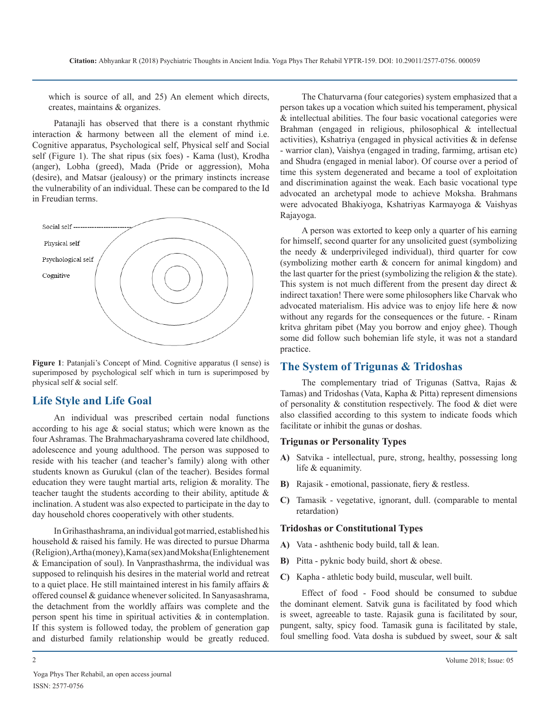which is source of all, and 25) An element which directs, creates, maintains & organizes.

Patanajli has observed that there is a constant rhythmic interaction & harmony between all the element of mind i.e. Cognitive apparatus, Psychological self, Physical self and Social self (Figure 1). The shat ripus (six foes) - Kama (lust), Krodha (anger), Lobha (greed), Mada (Pride or aggression), Moha (desire), and Matsar (jealousy) or the primary instincts increase the vulnerability of an individual. These can be compared to the Id in Freudian terms.



**Figure 1**: Patanjali's Concept of Mind. Cognitive apparatus (I sense) is superimposed by psychological self which in turn is superimposed by physical self & social self.

#### **Life Style and Life Goal**

An individual was prescribed certain nodal functions according to his age & social status; which were known as the four Ashramas. The Brahmacharyashrama covered late childhood, adolescence and young adulthood. The person was supposed to reside with his teacher (and teacher's family) along with other students known as Gurukul (clan of the teacher). Besides formal education they were taught martial arts, religion & morality. The teacher taught the students according to their ability, aptitude & inclination. A student was also expected to participate in the day to day household chores cooperatively with other students.

In Grihasthashrama, an individual got married, established his household & raised his family. He was directed to pursue Dharma (Religion), Artha (money), Kama (sex) and Moksha (Enlightenement & Emancipation of soul). In Vanprasthashrma, the individual was supposed to relinquish his desires in the material world and retreat to a quiet place. He still maintained interest in his family affairs & offered counsel & guidance whenever solicited. In Sanyasashrama, the detachment from the worldly affairs was complete and the person spent his time in spiritual activities & in contemplation. If this system is followed today, the problem of generation gap and disturbed family relationship would be greatly reduced.

The Chaturvarna (four categories) system emphasized that a person takes up a vocation which suited his temperament, physical & intellectual abilities. The four basic vocational categories were Brahman (engaged in religious, philosophical & intellectual activities), Kshatriya (engaged in physical activities & in defense - warrior clan), Vaishya (engaged in trading, farmimg, artisan etc) and Shudra (engaged in menial labor). Of course over a period of time this system degenerated and became a tool of exploitation and discrimination against the weak. Each basic vocational type advocated an archetypal mode to achieve Moksha. Brahmans were advocated Bhakiyoga, Kshatriyas Karmayoga & Vaishyas Rajayoga.

A person was extorted to keep only a quarter of his earning for himself, second quarter for any unsolicited guest (symbolizing the needy & underprivileged individual), third quarter for cow (symbolizing mother earth & concern for animal kingdom) and the last quarter for the priest (symbolizing the religion & the state). This system is not much different from the present day direct  $\&$ indirect taxation! There were some philosophers like Charvak who advocated materialism. His advice was to enjoy life here & now without any regards for the consequences or the future. - Rinam kritva ghritam pibet (May you borrow and enjoy ghee). Though some did follow such bohemian life style, it was not a standard practice.

#### **The System of Trigunas & Tridoshas**

The complementary triad of Trigunas (Sattva, Rajas & Tamas) and Tridoshas (Vata, Kapha & Pitta) represent dimensions of personality & constitution respectively. The food & diet were also classified according to this system to indicate foods which facilitate or inhibit the gunas or doshas.

#### **Trigunas or Personality Types**

- **A)** Satvika intellectual, pure, strong, healthy, possessing long life & equanimity.
- **B)** Rajasik emotional, passionate, fiery & restless.
- **C)** Tamasik vegetative, ignorant, dull. (comparable to mental retardation)

#### **Tridoshas or Constitutional Types**

- **A)** Vata ashthenic body build, tall & lean.
- **B)** Pitta pyknic body build, short & obese.
- **C)** Kapha athletic body build, muscular, well built.

Effect of food - Food should be consumed to subdue the dominant element. Satvik guna is facilitated by food which is sweet, agreeable to taste. Rajasik guna is facilitated by sour, pungent, salty, spicy food. Tamasik guna is facilitated by stale, foul smelling food. Vata dosha is subdued by sweet, sour & salt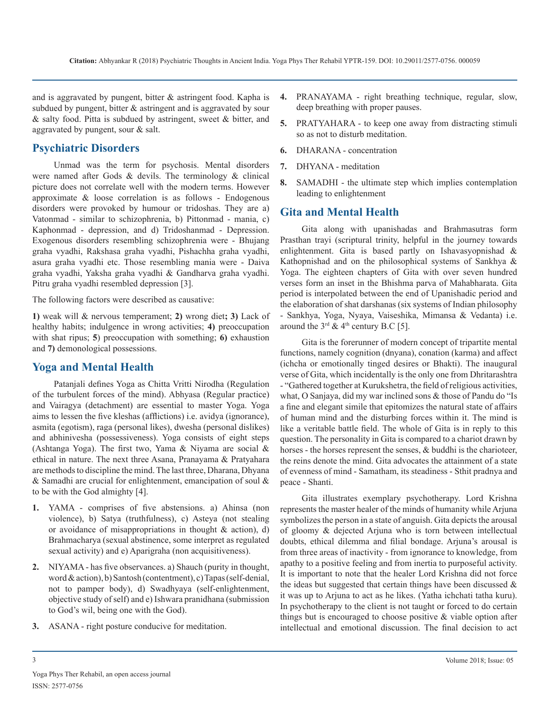and is aggravated by pungent, bitter & astringent food. Kapha is subdued by pungent, bitter & astringent and is aggravated by sour & salty food. Pitta is subdued by astringent, sweet & bitter, and aggravated by pungent, sour & salt.

#### **Psychiatric Disorders**

Unmad was the term for psychosis. Mental disorders were named after Gods & devils. The terminology & clinical picture does not correlate well with the modern terms. However approximate & loose correlation is as follows - Endogenous disorders were provoked by humour or tridoshas. They are a) Vatonmad - similar to schizophrenia, b) Pittonmad - mania, c) Kaphonmad - depression, and d) Tridoshanmad - Depression. Exogenous disorders resembling schizophrenia were - Bhujang graha vyadhi, Rakshasa graha vyadhi, Pishachha graha vyadhi, asura graha vyadhi etc. Those resembling mania were - Daiva graha vyadhi, Yaksha graha vyadhi & Gandharva graha vyadhi. Pitru graha vyadhi resembled depression [3].

The following factors were described as causative:

**1)** weak will & nervous temperament; **2)** wrong diet**; 3)** Lack of healthy habits; indulgence in wrong activities; **4)** preoccupation with shat ripus; **5**) preoccupation with something; **6)** exhaustion and **7)** demonological possessions.

#### **Yoga and Mental Health**

Patanjali defines Yoga as Chitta Vritti Nirodha (Regulation of the turbulent forces of the mind). Abhyasa (Regular practice) and Vairagya (detachment) are essential to master Yoga. Yoga aims to lessen the five kleshas (afflictions) i.e. avidya (ignorance), asmita (egotism), raga (personal likes), dwesha (personal dislikes) and abhinivesha (possessiveness). Yoga consists of eight steps (Ashtanga Yoga). The first two, Yama & Niyama are social & ethical in nature. The next three Asana, Pranayama & Pratyahara are methods to discipline the mind. The last three, Dharana, Dhyana & Samadhi are crucial for enlightenment, emancipation of soul & to be with the God almighty [4].

- **1.** YAMA comprises of five abstensions. a) Ahinsa (non violence), b) Satya (truthfulness), c) Asteya (not stealing or avoidance of misappropriations in thought  $\&$  action), d) Brahmacharya (sexual abstinence, some interpret as regulated sexual activity) and e) Aparigraha (non acquisitiveness).
- **2.** NIYAMA has five observances. a) Shauch (purity in thought, word & action), b) Santosh (contentment), c) Tapas (self-denial, not to pamper body), d) Swadhyaya (self-enlightenment, objective study of self) and e) Ishwara pranidhana (submission to God's wil, being one with the God).
- **3.** ASANA right posture conducive for meditation.
- **4.** PRANAYAMA right breathing technique, regular, slow, deep breathing with proper pauses.
- **5.** PRATYAHARA to keep one away from distracting stimuli so as not to disturb meditation.
- **6.** DHARANA concentration
- **7.** DHYANA meditation
- **8.** SAMADHI the ultimate step which implies contemplation leading to enlightenment

#### **Gita and Mental Health**

Gita along with upanishadas and Brahmasutras form Prasthan trayi (scriptural trinity, helpful in the journey towards enlightenment. Gita is based partly on Ishavasyopnishad & Kathopnishad and on the philosophical systems of Sankhya & Yoga. The eighteen chapters of Gita with over seven hundred verses form an inset in the Bhishma parva of Mahabharata. Gita period is interpolated between the end of Upanishadic period and the elaboration of shat darshanas (six systems of Indian philosophy - Sankhya, Yoga, Nyaya, Vaiseshika, Mimansa & Vedanta) i.e. around the  $3^{rd}$  &  $4^{th}$  century B.C [5].

Gita is the forerunner of modern concept of tripartite mental functions, namely cognition (dnyana), conation (karma) and affect (ichcha or emotionally tinged desires or Bhakti). The inaugural verse of Gita, which incidentally is the only one from Dhritarashtra - "Gathered together at Kurukshetra, the field of religious activities, what, O Sanjaya, did my war inclined sons & those of Pandu do "Is a fine and elegant simile that epitomizes the natural state of affairs of human mind and the disturbing forces within it. The mind is like a veritable battle field. The whole of Gita is in reply to this question. The personality in Gita is compared to a chariot drawn by horses - the horses represent the senses, & buddhi is the charioteer, the reins denote the mind. Gita advocates the attainment of a state of evenness of mind - Samatham, its steadiness - Sthit pradnya and peace - Shanti.

Gita illustrates exemplary psychotherapy. Lord Krishna represents the master healer of the minds of humanity while Arjuna symbolizes the person in a state of anguish. Gita depicts the arousal of gloomy & dejected Arjuna who is torn between intellectual doubts, ethical dilemma and filial bondage. Arjuna's arousal is from three areas of inactivity - from ignorance to knowledge, from apathy to a positive feeling and from inertia to purposeful activity. It is important to note that the healer Lord Krishna did not force the ideas but suggested that certain things have been discussed  $\&$ it was up to Arjuna to act as he likes. (Yatha ichchati tatha kuru). In psychotherapy to the client is not taught or forced to do certain things but is encouraged to choose positive & viable option after intellectual and emotional discussion. The final decision to act